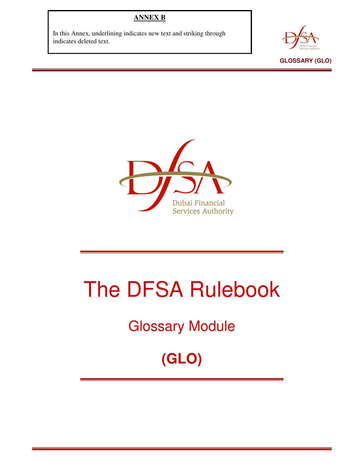## **ANNEX B**

In this Annex, underlining indicates new text and striking through indicates deleted text.





## The DFSA Rulebook

## Glossary Module

**(GLO)**